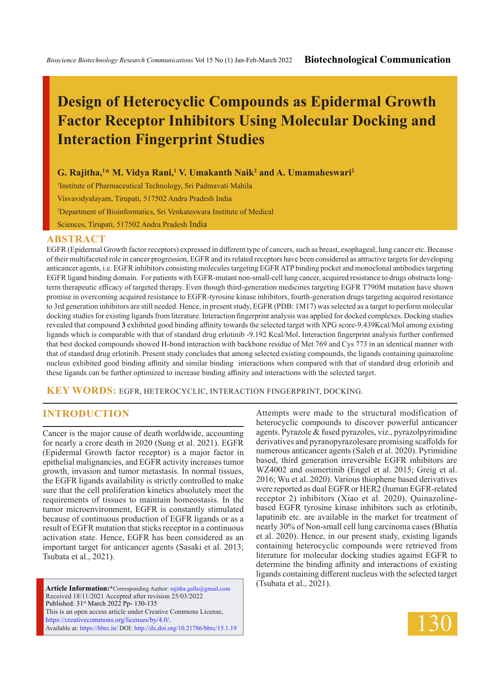# **Design of Heterocyclic Compounds as Epidermal Growth Factor Receptor Inhibitors Using Molecular Docking and Interaction Fingerprint Studies**

#### G. Rajitha,<sup>1\*</sup> M. Vidya Rani,<sup>1</sup> V. Umakanth Naik<sup>2</sup> and A. Umamaheswari<sup>2</sup>

1 Institute of Pharmaceutical Technology, Sri Padmavati Mahila Visvavidyalayam, Tirupati, 517502 Andra Pradesh India 2 Department of Bioinformatics, Sri Venkateswara Institute of Medical Sciences, Tirupati, 517502 Andra Pradesh India

#### **ABSTRACT**

EGFR (Epidermal Growth factor receptors) expressed in different type of cancers, such as breast, esophageal, lung cancer etc. Because of their multifaceted role in cancer progression, EGFR and its related receptors have been considered as attractive targets for developing anticancer agents, i.e. EGFR inhibitors consisting molecules targeting EGFR ATP binding pocket and monoclonal antibodies targeting EGFR ligand binding domain. For patients with EGFR-mutant non-small-cell lung cancer, acquired resistance to drugs obstructs longterm therapeutic efficacy of targeted therapy. Even though third-generation medicines targeting EGFR T790M mutation have shown promise in overcoming acquired resistance to EGFR-tyrosine kinase inhibitors, fourth-generation drugs targeting acquired resistance to 3rd generation inhibitors are still needed. Hence, in present study, EGFR (PDB: 1M17) was selected as a target to perform molecular docking studies for existing ligands from literature. Interaction fingerprint analysis was applied for docked complexes. Docking studies revealed that compound **3** exhibited good binding affinity towards the selected target with XPG score-9.439Kcal/Mol among existing ligands which is comparable with that of standard drug erlotinib -9.192 Kcal/Mol. Interaction fingerprint analysis further confirmed that best docked compounds showed H-bond interaction with backbone residue of Met 769 and Cys 773 in an identical manner with that of standard drug erlotinib. Present study concludes that among selected existing compounds, the ligands containing quinazoline nucleus exhibited good binding affinity and similar binding interactions when compared with that of standard drug erlotinib and these ligands can be further optimized to increase binding affinity and interactions with the selected target.

**KEY WORDS:** EGFR, heterocyclic, interaction fingerprint, docking.

#### **INTRODUCTION**

Cancer is the major cause of death worldwide, accounting for nearly a crore death in 2020 (Sung et al. 2021). EGFR (Epidermal Growth factor receptor) is a major factor in epithelial malignancies, and EGFR activity increases tumor growth, invasion and tumor metastasis. In normal tissues, the EGFR ligands availability is strictly controlled to make sure that the cell proliferation kinetics absolutely meet the requirements of tissues to maintain homeostasis. In the tumor microenvironment, EGFR is constantly stimulated because of continuous production of EGFR ligands or as a result of EGFR mutation that sticks receptor in a continuous activation state. Hence, EGFR has been considered as an important target for anticancer agents (Sasaki et al. 2013; Tsubata et al., 2021).

**Article Information:\***Corresponding Author: rajitha.galla@gmail.com Received 18/11/2021 Accepted after revision 25/03/2022 Published: 31st March 2022 Pp- 130-135 This is an open access article under Creative Commons License, https://creativecommons.org/licenses/by/4.0/. Available at: https://bbrc.in/ DOI: http://dx.doi.org/10.21786/bbrc/15.1.19 Attempts were made to the structural modification of heterocyclic compounds to discover powerful anticancer agents. Pyrazole & fused pyrazoles, viz., pyrazolpyrimidine derivatives and pyranopyrazolesare promising scaffolds for numerous anticancer agents (Saleh et al. 2020). Pyrimidine based, third generation irreversible EGFR inhibitors are WZ4002 and osimertinib (Engel et al. 2015; Greig et al. 2016; Wu et al. 2020). Various thiophene based derivatives were reported as dual EGFR or HER2 (human EGFR-related receptor 2) inhibitors (Xiao et al. 2020). Quinazolinebased EGFR tyrosine kinase inhibitors such as erlotinib, lapatinib etc. are available in the market for treatment of nearly 30% of Non-small cell lung carcinoma cases (Bhatia et al. 2020). Hence, in our present study, existing ligands containing heterocyclic compounds were retrieved from literature for molecular docking studies against EGFR to determine the binding affinity and interactions of existing ligands containing different nucleus with the selected target (Tsubata et al., 2021).

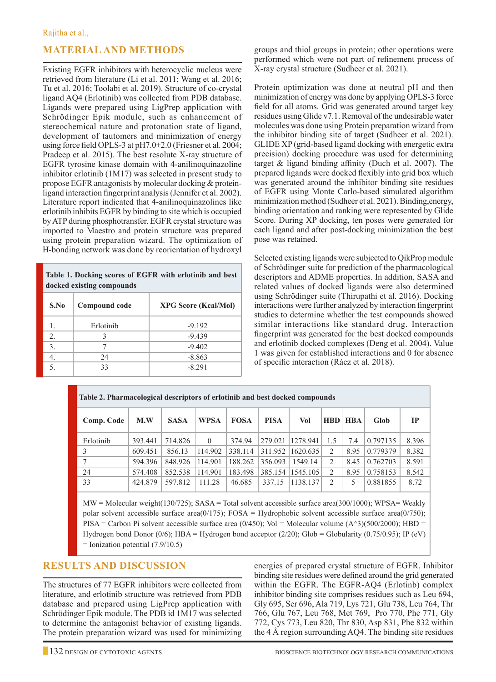## **Material And Methods**

Existing EGFR inhibitors with heterocyclic nucleus were retrieved from literature (Li et al. 2011; Wang et al. 2016; Tu et al. 2016; Toolabi et al. 2019). Structure of co-crystal ligand AQ4 (Erlotinib) was collected from PDB database. Ligands were prepared using LigPrep application with Schrödinger Epik module, such as enhancement of stereochemical nature and protonation state of ligand, development of tautomers and minimization of energy using force field OPLS-3 at pH7.0±2.0 (Friesner et al. 2004; Pradeep et al. 2015). The best resolute X-ray structure of EGFR tyrosine kinase domain with 4-anilinoquinazoline inhibitor erlotinib (1M17) was selected in present study to propose EGFR antagonists by molecular docking & proteinligand interaction fingerprint analysis (Jennifer et al. 2002). Literature report indicated that 4-anilinoquinazolines like erlotinib inhibits EGFR by binding to site which is occupied by ATP during phosphotransfer. EGFR crystal structure was imported to Maestro and protein structure was prepared using protein preparation wizard. The optimization of H-bonding network was done by reorientation of hydroxyl

**Table 1. Docking scores of EGFR with erlotinib and best docked existing compounds**

| S.No | Compound code | <b>XPG Score (Kcal/Mol)</b> |
|------|---------------|-----------------------------|
|      | Erlotinih     | $-9.192$                    |
| 2.   |               | $-9.439$                    |
| 3.   |               | $-9.402$                    |
| 4.   | 24            | $-8.863$                    |
| 5.   | 33            | $-8.291$                    |

groups and thiol groups in protein; other operations were performed which were not part of refinement process of X-ray crystal structure (Sudheer et al. 2021).

Protein optimization was done at neutral pH and then minimization of energy was done by applying OPLS-3 force field for all atoms. Grid was generated around target key residues using Glide v7.1. Removal of the undesirable water molecules was done using Protein preparation wizard from the inhibitor binding site of target (Sudheer et al. 2021). GLIDE XP (grid-based ligand docking with energetic extra precision) docking procedure was used for determining target & ligand binding affinity (Duch et al. 2007). The prepared ligands were docked flexibly into grid box which was generated around the inhibitor binding site residues of EGFR using Monte Carlo-based simulated algorithm minimization method (Sudheer et al. 2021). Binding,energy, binding orientation and ranking were represented by Glide Score. During XP docking, ten poses were generated for each ligand and after post-docking minimization the best pose was retained.

Selected existing ligands were subjected to QikProp module of Schrödinger suite for prediction of the pharmacological descriptors and ADME properties. In addition, SASA and related values of docked ligands were also determined using Schrödinger suite (Thirupathi et al. 2016). Docking interactions were further analyzed by interaction fingerprint studies to determine whether the test compounds showed similar interactions like standard drug. Interaction fingerprint was generated for the best docked compounds and erlotinib docked complexes (Deng et al. 2004). Value 1 was given for established interactions and 0 for absence of specific interaction (Rácz et al. 2018).

| Table 2. Pharmacological descriptors of erlotinib and best docked compounds |         |             |             |             |             |                    |            |            |          |       |  |  |  |
|-----------------------------------------------------------------------------|---------|-------------|-------------|-------------|-------------|--------------------|------------|------------|----------|-------|--|--|--|
| Comp. Code                                                                  | M.W     | <b>SASA</b> | <b>WPSA</b> | <b>FOSA</b> | <b>PISA</b> | Vol                | <b>HBD</b> | <b>HBA</b> | Glob     | IP    |  |  |  |
| Erlotinib                                                                   | 393.441 | 714.826     | $\theta$    | 374.94      |             | 279.021 1278.941   | 1.5        | 7.4        | 0.797135 | 8.396 |  |  |  |
| 3                                                                           | 609.451 | 856.13      | 114.902     | 338.114     |             | 311.952 1620.635   | 2          | 8.95       | 0.779379 | 8.382 |  |  |  |
| 7                                                                           | 594.396 | 848.926     | 114.901     | 188.262     | 356.093     | 1549.14            | 2          | 8.45       | 0.762703 | 8.591 |  |  |  |
| 24                                                                          | 574.408 | 852.538     | 114.901     | 183.498     |             | 385.154   1545.105 | 2          | 8.95       | 0.758153 | 8.542 |  |  |  |
| 33                                                                          | 424.879 | 597.812     | 111.28      | 46.685      | 337.15      | 1138.137           | 2          | 5          | 0.881855 | 8.72  |  |  |  |

MW = Molecular weight(130/725); SASA = Total solvent accessible surface area(300/1000); WPSA= Weakly polar solvent accessible surface area(0/175); FOSA = Hydrophobic solvent accessible surface area(0/750); PISA = Carbon Pi solvent accessible surface area  $(0/450)$ ; Vol = Molecular volume  $(A<sup>3</sup>)(500/2000)$ ; HBD = Hydrogen bond Donor (0/6); HBA = Hydrogen bond acceptor (2/20); Glob = Globularity (0.75/0.95); IP (eV) = Ionization potential (7.9/10.5)

## **Results and Discussion**

The structures of 77 EGFR inhibitors were collected from literature, and erlotinib structure was retrieved from PDB database and prepared using LigPrep application with Schrödinger Epik module. The PDB id 1M17 was selected to determine the antagonist behavior of existing ligands. The protein preparation wizard was used for minimizing

energies of prepared crystal structure of EGFR. Inhibitor binding site residues were defined around the grid generated within the EGFR. The EGFR-AQ4 (Erlotinb) complex inhibitor binding site comprises residues such as Leu 694, Gly 695, Ser 696, Ala 719, Lys 721, Glu 738, Leu 764, Thr 766, Glu 767, Leu 768, Met 769, Pro 770, Phe 771, Gly 772, Cys 773, Leu 820, Thr 830, Asp 831, Phe 832 within the 4 Å region surrounding AQ4. The binding site residues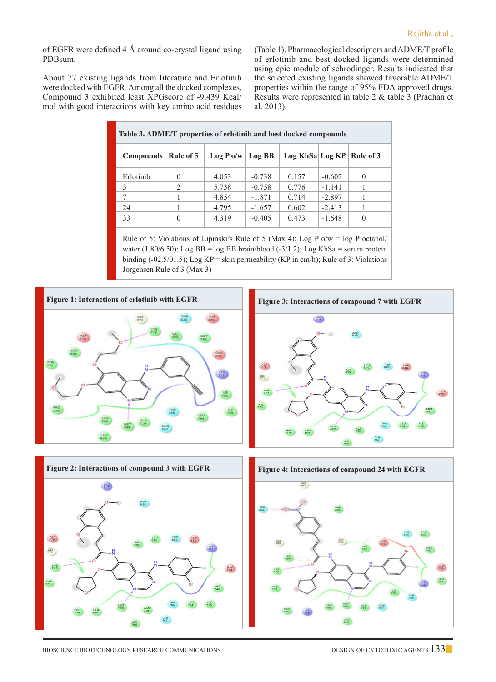of EGFR were defined 4 Å around co-crystal ligand using PDBsum.

About 77 existing ligands from literature and Erlotinib were docked with EGFR. Among all the docked complexes, Compound 3 exhibited least XPGscore of -9.439 Kcal/ mol with good interactions with key amino acid residues (Table 1). Pharmacological descriptors and ADME/T profile of erlotinib and best docked ligands were determined using epic module of schrodinger. Results indicated that the selected existing ligands showed favorable ADME/T properties within the range of 95% FDA approved drugs. Results were represented in table 2 & table 3 (Pradhan et al. 2013).

| Table 3. ADME/T properties of erlotinib and best docked compounds |               |             |          |                 |          |           |  |  |  |  |  |  |
|-------------------------------------------------------------------|---------------|-------------|----------|-----------------|----------|-----------|--|--|--|--|--|--|
| Compounds                                                         | Rule of 5     | $Log P_0/w$ | Log BB   | Log KhSa Log KP |          | Rule of 3 |  |  |  |  |  |  |
| Erlotinib                                                         | $\theta$      | 4.053       | $-0.738$ | 0.157           | $-0.602$ | $\Omega$  |  |  |  |  |  |  |
| 3                                                                 | $\mathcal{D}$ | 5.738       | $-0.758$ | 0.776           | $-1.141$ |           |  |  |  |  |  |  |
|                                                                   |               | 4.854       | $-1.871$ | 0.714           | $-2.897$ |           |  |  |  |  |  |  |
| 24                                                                |               | 4.795       | $-1.657$ | 0.602           | $-2.413$ |           |  |  |  |  |  |  |
| 33                                                                | $\theta$      | 4.319       | $-0.405$ | 0.473           | $-1.648$ | $\theta$  |  |  |  |  |  |  |

Rule of 5: Violations of Lipinski's Rule of 5 (Max 4); Log P o/w = log P octanol/ water (1.80/6.50); Log BB = log BB brain/blood (-3/1.2); Log KhSa = serum protein binding (-02.5/01.5); Log  $KP =$  skin permeability (KP in cm/h); Rule of 3: Violations Jorgensen Rule of 3 (Max 3)





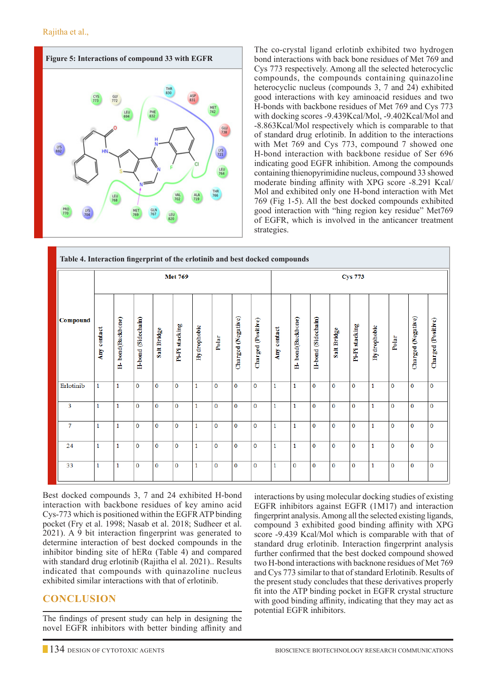

The co-crystal ligand erlotinb exhibited two hydrogen bond interactions with back bone residues of Met 769 and Cys 773 respectively. Among all the selected heterocyclic compounds, the compounds containing quinazoline heterocyclic nucleus (compounds 3, 7 and 24) exhibited good interactions with key aminoacid residues and two H-bonds with backbone residues of Met 769 and Cys 773 with docking scores -9.439Kcal/Mol, -9.402Kcal/Mol and -8.863Kcal/Mol respectively which is comparable to that of standard drug erlotinib. In addition to the interactions with Met 769 and Cys 773, compound 7 showed one H-bond interaction with backbone residue of Ser 696 indicating good EGFR inhibition. Among the compounds containing thienopyrimidine nucleus, compound 33 showed moderate binding affinity with XPG score -8.291 Kcal/ Mol and exhibited only one H-bond interaction with Met 769 (Fig 1-5). All the best docked compounds exhibited good interaction with "hing region key residue" Met769 of EGFR, which is involved in the anticancer treatment strategies.

| Table 4. Interaction fingerprint of the erlotinib and best docked compounds |                |                  |                    |              |                |              |             |                    |                    |              |                  |                    |              |                |              |             |                    |                    |
|-----------------------------------------------------------------------------|----------------|------------------|--------------------|--------------|----------------|--------------|-------------|--------------------|--------------------|--------------|------------------|--------------------|--------------|----------------|--------------|-------------|--------------------|--------------------|
|                                                                             | <b>Met 769</b> |                  |                    |              |                |              |             |                    | <b>Cys 773</b>     |              |                  |                    |              |                |              |             |                    |                    |
| Compound                                                                    | Any contact    | H-bond(Backbone) | H-bond (Sidechain) | Salt Bridge  | Pi-Pi stacking | Hydrophobic  | Polar       | Charged (Negative) | Charged (Positive) | Any contact  | H-bond(Backbone) | H-bond (Sidechain) | Salt Bridge  | Pi-Pi stacking | Hydrophobic  | Polar       | Charged (Negative) | Charged (Positive) |
| Erlotinib                                                                   | $\mathbf{1}$   | $\mathbf{1}$     | $\mathbf{0}$       | $\bf{0}$     | $\mathbf{0}$   | $\mathbf{1}$ | $\bf{0}$    | $\mathbf{0}$       | $\mathbf 0$        | $\mathbf{1}$ | $\mathbf{1}$     | $\mathbf{O}$       | $\bf{0}$     | $\overline{0}$ | $\mathbf{1}$ | $\mathbf 0$ | $\mathbf 0$        | $\mathbf 0$        |
| $\overline{3}$                                                              | $\mathbf{1}$   | 1                | $\mathbf{0}$       | $\mathbf{0}$ | $\mathbf 0$    | 1            | $\mathbf 0$ | $\overline{0}$     | $\mathbf 0$        | $\mathbf{1}$ | $\mathbf{1}$     | $\mathbf 0$        | $\mathbf{0}$ | $\bf{0}$       | $\mathbf{1}$ | $\mathbf 0$ | $\overline{0}$     | $\mathbf 0$        |
| $\tau$                                                                      | $\mathbf{1}$   | 1                | $\mathbf{0}$       | $\mathbf 0$  | $\mathbf 0$    | 1            | $\mathbf 0$ | $\mathbf 0$        | $\mathbf 0$        | $\mathbf{1}$ | $\mathbf{1}$     | $\mathbf 0$        | $\mathbf 0$  | 0              | $\mathbf{1}$ | $\mathbf 0$ | $\mathbf{0}$       | $\mathbf 0$        |
| 24                                                                          | $\mathbf{1}$   | $\mathbf{1}$     | $\mathbf{0}$       | $\mathbf 0$  | $\mathbf{0}$   | $\mathbf{1}$ | $\mathbf 0$ | $\mathbf 0$        | $\mathbf{0}$       | $\mathbf{1}$ | $\mathbf{1}$     | $\mathbf{0}$       | $\mathbf{0}$ | 0              | $\mathbf{1}$ | $\mathbf 0$ | $\mathbf{0}$       | $\mathbf{0}$       |
| 33                                                                          | 1              | $\mathbf{1}$     | $\mathbf{0}$       | $\bf{0}$     | $\mathbf{0}$   | $\mathbf{1}$ | $\mathbf 0$ | $\overline{0}$     | $\mathbf{0}$       | $\mathbf{1}$ | $\mathbf{0}$     | $\mathbf{0}$       | $\Omega$     | $\mathbf 0$    | $\mathbf{1}$ | $\mathbf 0$ | $\mathbf{0}$       | $\mathbf{0}$       |

Best docked compounds 3, 7 and 24 exhibited H-bond interaction with backbone residues of key amino acid Cys-773 which is positioned within the EGFR ATP binding pocket (Fry et al. 1998; Nasab et al. 2018; Sudheer et al. 2021). A 9 bit interaction fingerprint was generated to determine interaction of best docked compounds in the inhibitor binding site of hERα (Table 4) and compared with standard drug erlotinib (Rajitha el al. 2021).. Results indicated that compounds with quinazoline nucleus exhibited similar interactions with that of erlotinib.

# **Conclusion**

The findings of present study can help in designing the novel EGFR inhibitors with better binding affinity and interactions by using molecular docking studies of existing EGFR inhibitors against EGFR (1M17) and interaction fingerprint analysis. Among all the selected existing ligands, compound 3 exhibited good binding affinity with XPG score -9.439 Kcal/Mol which is comparable with that of standard drug erlotinib. Interaction fingerprint analysis further confirmed that the best docked compound showed two H-bond interactions with backnone residues of Met 769 and Cys 773 similar to that of standard Erlotinib. Results of the present study concludes that these derivatives properly fit into the ATP binding pocket in EGFR crystal structure with good binding affinity, indicating that they may act as potential EGFR inhibitors.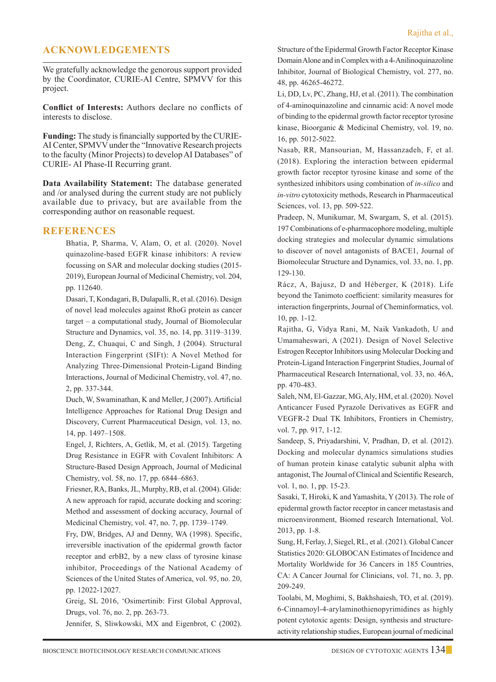# **Acknowledgements**

We gratefully acknowledge the genorous support provided by the Coordinator, CURIE-AI Centre, SPMVV for this project.

**Conflict of Interests:** Authors declare no conflicts of interests to disclose.

**Funding:** The study is financially supported by the CURIE-AI Center, SPMVV under the "Innovative Research projects to the faculty (Minor Projects) to develop AI Databases" of CURIE- AI Phase-II Recurring grant.

**Data Availability Statement:** The database generated and /or analysed during the current study are not publicly available due to privacy, but are available from the corresponding author on reasonable request.

### **REFERENCES**

Bhatia, P, Sharma, V, Alam, O, et al. (2020). Novel quinazoline-based EGFR kinase inhibitors: A review focussing on SAR and molecular docking studies (2015- 2019), European Journal of Medicinal Chemistry, vol. 204, pp. 112640.

Dasari, T, Kondagari, B, Dulapalli, R, et al. (2016). Design of novel lead molecules against RhoG protein as cancer target – a computational study, Journal of Biomolecular Structure and Dynamics, vol. 35, no. 14, pp. 3119–3139. Deng, Z, Chuaqui, C and Singh, J (2004). Structural Interaction Fingerprint (SIFt): A Novel Method for Analyzing Three-Dimensional Protein-Ligand Binding Interactions, Journal of Medicinal Chemistry, vol. 47, no. 2, pp. 337-344.

Duch, W, Swaminathan, K and Meller, J (2007). Artificial Intelligence Approaches for Rational Drug Design and Discovery, Current Pharmaceutical Design, vol. 13, no. 14, pp. 1497–1508.

Engel, J, Richters, A, Getlik, M, et al. (2015). Targeting Drug Resistance in EGFR with Covalent Inhibitors: A Structure-Based Design Approach, Journal of Medicinal Chemistry, vol. 58, no. 17, pp. 6844–6863.

Friesner, RA, Banks, JL, Murphy, RB, et al. (2004). Glide: A new approach for rapid, accurate docking and scoring: Method and assessment of docking accuracy, Journal of Medicinal Chemistry, vol. 47, no. 7, pp. 1739–1749.

Fry, DW, Bridges, AJ and Denny, WA (1998). Specific, irreversible inactivation of the epidermal growth factor receptor and erbB2, by a new class of tyrosine kinase inhibitor, Proceedings of the National Academy of Sciences of the United States of America, vol. 95, no. 20, pp. 12022-12027.

Greig, SL 2016, 'Osimertinib: First Global Approval, Drugs, vol. 76, no. 2, pp. 263-73.

Jennifer, S, Sliwkowski, MX and Eigenbrot, C (2002).

Structure of the Epidermal Growth Factor Receptor Kinase Domain Alone and in Complex with a 4-Anilinoquinazoline Inhibitor, Journal of Biological Chemistry, vol. 277, no. 48, pp. 46265-46272.

 Li, DD, Lv, PC, Zhang, HJ, et al. (2011). The combination of 4-aminoquinazoline and cinnamic acid: A novel mode of binding to the epidermal growth factor receptor tyrosine kinase, Bioorganic & Medicinal Chemistry, vol. 19, no. 16, pp. 5012-5022.

 Nasab, RR, Mansourian, M, Hassanzadeh, F, et al. (2018). Exploring the interaction between epidermal growth factor receptor tyrosine kinase and some of the synthesized inhibitors using combination of *in-silico* and *in-vitro* cytotoxicity methods, Research in Pharmaceutical Sciences, vol. 13, pp. 509-522.

Pradeep, N, Munikumar, M, Swargam, S, et al. (2015). 197 Combinations of e-pharmacophore modeling, multiple docking strategies and molecular dynamic simulations to discover of novel antagonists of BACE1, Journal of Biomolecular Structure and Dynamics, vol. 33, no. 1, pp. 129-130.

Rácz, A, Bajusz, D and Héberger, K (2018). Life beyond the Tanimoto coefficient: similarity measures for interaction fingerprints, Journal of Cheminformatics, vol. 10, pp. 1-12.

Rajitha, G, Vidya Rani, M, Naik Vankadoth, U and Umamaheswari, A (2021). Design of Novel Selective Estrogen Receptor Inhibitors using Molecular Docking and Protein-Ligand Interaction Fingerprint Studies, Journal of Pharmaceutical Research International, vol. 33, no. 46A, pp. 470-483.

Saleh, NM, El-Gazzar, MG, Aly, HM, et al. (2020). Novel Anticancer Fused Pyrazole Derivatives as EGFR and VEGFR-2 Dual TK Inhibitors, Frontiers in Chemistry, vol. 7, pp. 917, 1-12.

Sandeep, S, Priyadarshini, V, Pradhan, D, et al. (2012). Docking and molecular dynamics simulations studies of human protein kinase catalytic subunit alpha with antagonist, The Journal of Clinical and Scientific Research, vol. 1, no. 1, pp. 15-23.

Sasaki, T, Hiroki, K and Yamashita, Y (2013). The role of epidermal growth factor receptor in cancer metastasis and microenvironment, Biomed research International, Vol. 2013, pp. 1-8.

Sung, H, Ferlay, J, Siegel, RL, et al. (2021). Global Cancer Statistics 2020: GLOBOCAN Estimates of Incidence and Mortality Worldwide for 36 Cancers in 185 Countries, CA: A Cancer Journal for Clinicians, vol. 71, no. 3, pp. 209-249.

Toolabi, M, Moghimi, S, Bakhshaiesh, TO, et al. (2019). 6-Cinnamoyl-4-arylaminothienopyrimidines as highly potent cytotoxic agents: Design, synthesis and structureactivity relationship studies, European journal of medicinal